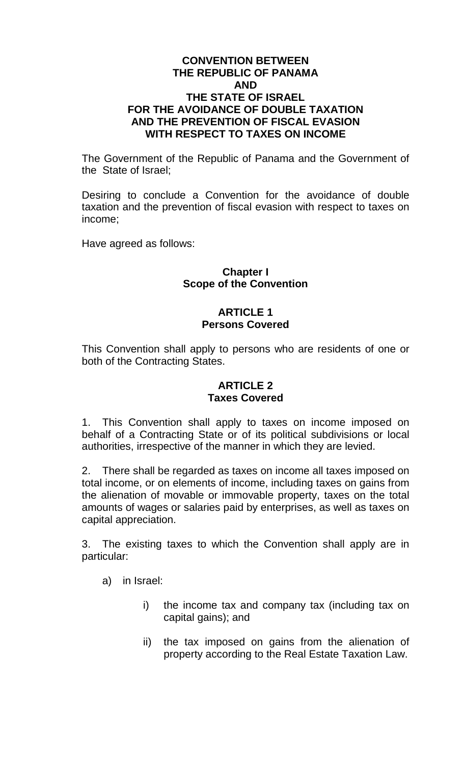### **CONVENTION BETWEEN THE REPUBLIC OF PANAMA AND THE STATE OF ISRAEL FOR THE AVOIDANCE OF DOUBLE TAXATION AND THE PREVENTION OF FISCAL EVASION WITH RESPECT TO TAXES ON INCOME**

The Government of the Republic of Panama and the Government of the State of Israel;

Desiring to conclude a Convention for the avoidance of double taxation and the prevention of fiscal evasion with respect to taxes on income;

Have agreed as follows:

#### **Chapter I Scope of the Convention**

#### **ARTICLE 1 Persons Covered**

This Convention shall apply to persons who are residents of one or both of the Contracting States.

#### **ARTICLE 2 Taxes Covered**

1. This Convention shall apply to taxes on income imposed on behalf of a Contracting State or of its political subdivisions or local authorities, irrespective of the manner in which they are levied.

2. There shall be regarded as taxes on income all taxes imposed on total income, or on elements of income, including taxes on gains from the alienation of movable or immovable property, taxes on the total amounts of wages or salaries paid by enterprises, as well as taxes on capital appreciation.

3. The existing taxes to which the Convention shall apply are in particular:

a) in Israel:

- i) the income tax and company tax (including tax on capital gains); and
- ii) the tax imposed on gains from the alienation of property according to the Real Estate Taxation Law.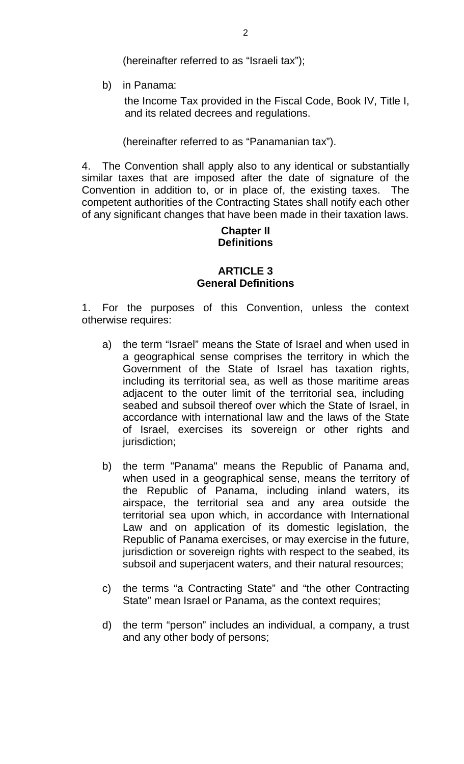(hereinafter referred to as "Israeli tax");

b) in Panama:

the Income Tax provided in the Fiscal Code, Book IV, Title I, and its related decrees and regulations.

(hereinafter referred to as "Panamanian tax").

4. The Convention shall apply also to any identical or substantially similar taxes that are imposed after the date of signature of the Convention in addition to, or in place of, the existing taxes. The competent authorities of the Contracting States shall notify each other of any significant changes that have been made in their taxation laws.

# **Chapter II Definitions**

# **ARTICLE 3 General Definitions**

1. For the purposes of this Convention, unless the context otherwise requires:

- a) the term "Israel" means the State of Israel and when used in a geographical sense comprises the territory in which the Government of the State of Israel has taxation rights, including its territorial sea, as well as those maritime areas adjacent to the outer limit of the territorial sea, including seabed and subsoil thereof over which the State of Israel, in accordance with international law and the laws of the State of Israel, exercises its sovereign or other rights and jurisdiction;
- b) the term "Panama" means the Republic of Panama and, when used in a geographical sense, means the territory of the Republic of Panama, including inland waters, its airspace, the territorial sea and any area outside the territorial sea upon which, in accordance with International Law and on application of its domestic legislation, the Republic of Panama exercises, or may exercise in the future, jurisdiction or sovereign rights with respect to the seabed, its subsoil and superjacent waters, and their natural resources;
- c) the terms "a Contracting State" and "the other Contracting State" mean Israel or Panama, as the context requires;
- d) the term "person" includes an individual, a company, a trust and any other body of persons;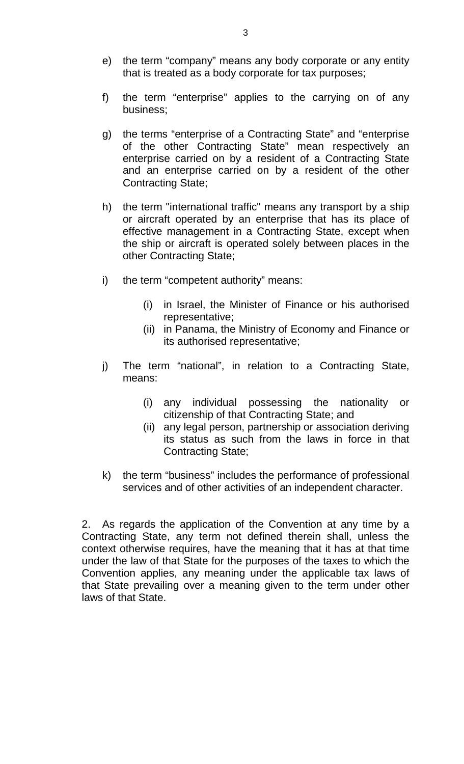- e) the term "company" means any body corporate or any entity that is treated as a body corporate for tax purposes;
- f) the term "enterprise" applies to the carrying on of any business;
- g) the terms "enterprise of a Contracting State" and "enterprise of the other Contracting State" mean respectively an enterprise carried on by a resident of a Contracting State and an enterprise carried on by a resident of the other Contracting State;
- h) the term "international traffic" means any transport by a ship or aircraft operated by an enterprise that has its place of effective management in a Contracting State, except when the ship or aircraft is operated solely between places in the other Contracting State;
- i) the term "competent authority" means:
	- (i) in Israel, the Minister of Finance or his authorised representative;
	- (ii) in Panama, the Ministry of Economy and Finance or its authorised representative;
- j) The term "national", in relation to a Contracting State, means:
	- (i) any individual possessing the nationality or citizenship of that Contracting State; and
	- (ii) any legal person, partnership or association deriving its status as such from the laws in force in that Contracting State;
- k) the term "business" includes the performance of professional services and of other activities of an independent character.

2. As regards the application of the Convention at any time by a Contracting State, any term not defined therein shall, unless the context otherwise requires, have the meaning that it has at that time under the law of that State for the purposes of the taxes to which the Convention applies, any meaning under the applicable tax laws of that State prevailing over a meaning given to the term under other laws of that State.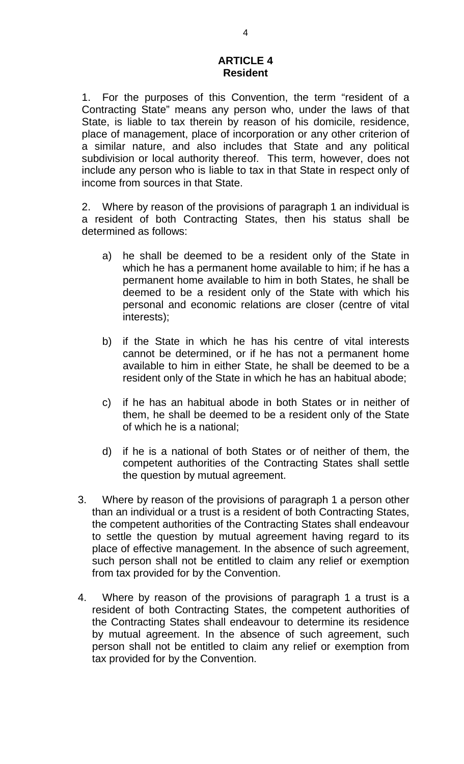#### **ARTICLE 4 Resident**

1. For the purposes of this Convention, the term "resident of a Contracting State" means any person who, under the laws of that State, is liable to tax therein by reason of his domicile, residence, place of management, place of incorporation or any other criterion of a similar nature, and also includes that State and any political subdivision or local authority thereof. This term, however, does not include any person who is liable to tax in that State in respect only of income from sources in that State.

2. Where by reason of the provisions of paragraph 1 an individual is a resident of both Contracting States, then his status shall be determined as follows:

- a) he shall be deemed to be a resident only of the State in which he has a permanent home available to him; if he has a permanent home available to him in both States, he shall be deemed to be a resident only of the State with which his personal and economic relations are closer (centre of vital interests);
- b) if the State in which he has his centre of vital interests cannot be determined, or if he has not a permanent home available to him in either State, he shall be deemed to be a resident only of the State in which he has an habitual abode;
- c) if he has an habitual abode in both States or in neither of them, he shall be deemed to be a resident only of the State of which he is a national;
- d) if he is a national of both States or of neither of them, the competent authorities of the Contracting States shall settle the question by mutual agreement.
- 3. Where by reason of the provisions of paragraph 1 a person other than an individual or a trust is a resident of both Contracting States, the competent authorities of the Contracting States shall endeavour to settle the question by mutual agreement having regard to its place of effective management. In the absence of such agreement, such person shall not be entitled to claim any relief or exemption from tax provided for by the Convention.
- 4. Where by reason of the provisions of paragraph 1 a trust is a resident of both Contracting States, the competent authorities of the Contracting States shall endeavour to determine its residence by mutual agreement. In the absence of such agreement, such person shall not be entitled to claim any relief or exemption from tax provided for by the Convention.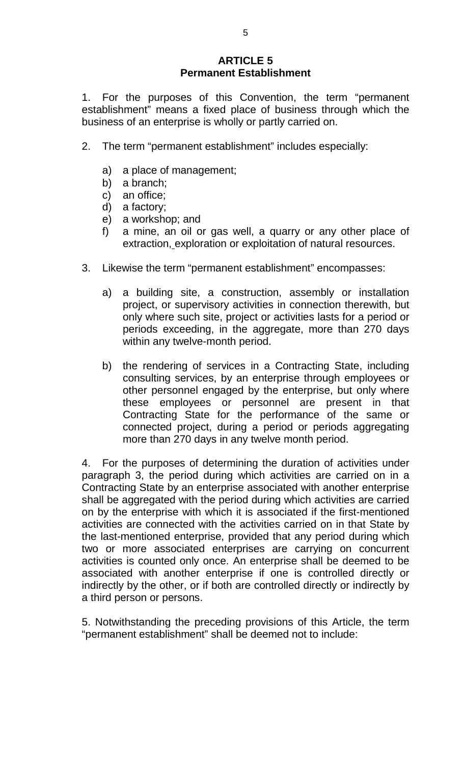# **ARTICLE 5 Permanent Establishment**

1. For the purposes of this Convention, the term "permanent establishment" means a fixed place of business through which the business of an enterprise is wholly or partly carried on.

- 2. The term "permanent establishment" includes especially:
	- a) a place of management;
	- b) a branch;
	- c) an office;
	- d) a factory;
	- e) a workshop; and
	- f) a mine, an oil or gas well, a quarry or any other place of extraction, exploration or exploitation of natural resources.
- 3. Likewise the term "permanent establishment" encompasses:
	- a) a building site, a construction, assembly or installation project, or supervisory activities in connection therewith, but only where such site, project or activities lasts for a period or periods exceeding, in the aggregate, more than 270 days within any twelve-month period.
	- b) the rendering of services in a Contracting State, including consulting services, by an enterprise through employees or other personnel engaged by the enterprise, but only where these employees or personnel are present in that Contracting State for the performance of the same or connected project, during a period or periods aggregating more than 270 days in any twelve month period.

4. For the purposes of determining the duration of activities under paragraph 3, the period during which activities are carried on in a Contracting State by an enterprise associated with another enterprise shall be aggregated with the period during which activities are carried on by the enterprise with which it is associated if the first-mentioned activities are connected with the activities carried on in that State by the last-mentioned enterprise, provided that any period during which two or more associated enterprises are carrying on concurrent activities is counted only once. An enterprise shall be deemed to be associated with another enterprise if one is controlled directly or indirectly by the other, or if both are controlled directly or indirectly by a third person or persons.

5. Notwithstanding the preceding provisions of this Article, the term "permanent establishment" shall be deemed not to include: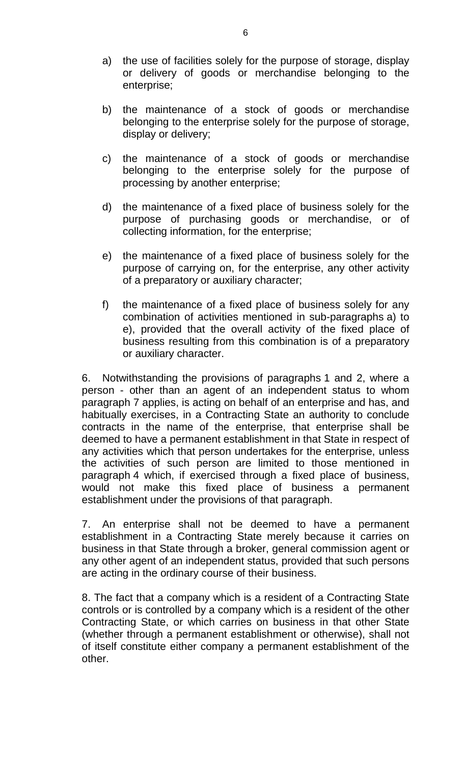- a) the use of facilities solely for the purpose of storage, display or delivery of goods or merchandise belonging to the enterprise;
- b) the maintenance of a stock of goods or merchandise belonging to the enterprise solely for the purpose of storage, display or delivery;
- c) the maintenance of a stock of goods or merchandise belonging to the enterprise solely for the purpose of processing by another enterprise;
- d) the maintenance of a fixed place of business solely for the purpose of purchasing goods or merchandise, or of collecting information, for the enterprise;
- e) the maintenance of a fixed place of business solely for the purpose of carrying on, for the enterprise, any other activity of a preparatory or auxiliary character;
- f) the maintenance of a fixed place of business solely for any combination of activities mentioned in sub-paragraphs a) to e), provided that the overall activity of the fixed place of business resulting from this combination is of a preparatory or auxiliary character.

6. Notwithstanding the provisions of paragraphs 1 and 2, where a person - other than an agent of an independent status to whom paragraph 7 applies, is acting on behalf of an enterprise and has, and habitually exercises, in a Contracting State an authority to conclude contracts in the name of the enterprise, that enterprise shall be deemed to have a permanent establishment in that State in respect of any activities which that person undertakes for the enterprise, unless the activities of such person are limited to those mentioned in paragraph 4 which, if exercised through a fixed place of business, would not make this fixed place of business a permanent establishment under the provisions of that paragraph.

7. An enterprise shall not be deemed to have a permanent establishment in a Contracting State merely because it carries on business in that State through a broker, general commission agent or any other agent of an independent status, provided that such persons are acting in the ordinary course of their business.

8. The fact that a company which is a resident of a Contracting State controls or is controlled by a company which is a resident of the other Contracting State, or which carries on business in that other State (whether through a permanent establishment or otherwise), shall not of itself constitute either company a permanent establishment of the other.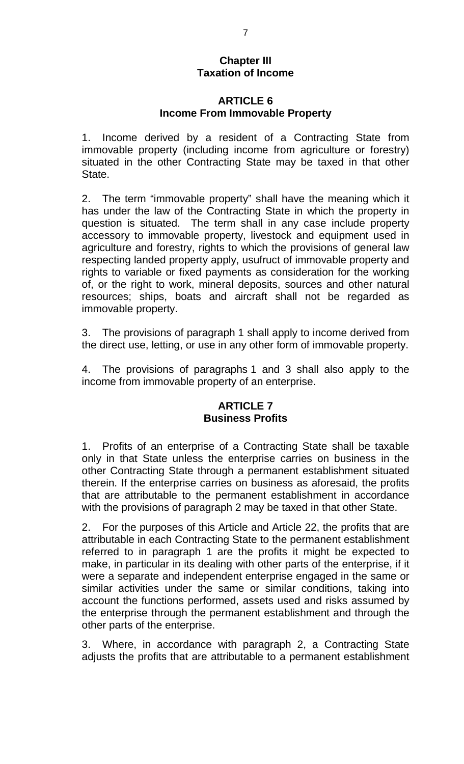### **Chapter III Taxation of Income**

### **ARTICLE 6 Income From Immovable Property**

1. Income derived by a resident of a Contracting State from immovable property (including income from agriculture or forestry) situated in the other Contracting State may be taxed in that other State.

2. The term "immovable property" shall have the meaning which it has under the law of the Contracting State in which the property in question is situated. The term shall in any case include property accessory to immovable property, livestock and equipment used in agriculture and forestry, rights to which the provisions of general law respecting landed property apply, usufruct of immovable property and rights to variable or fixed payments as consideration for the working of, or the right to work, mineral deposits, sources and other natural resources; ships, boats and aircraft shall not be regarded as immovable property.

3. The provisions of paragraph 1 shall apply to income derived from the direct use, letting, or use in any other form of immovable property.

4. The provisions of paragraphs 1 and 3 shall also apply to the income from immovable property of an enterprise.

### **ARTICLE 7 Business Profits**

1. Profits of an enterprise of a Contracting State shall be taxable only in that State unless the enterprise carries on business in the other Contracting State through a permanent establishment situated therein. If the enterprise carries on business as aforesaid, the profits that are attributable to the permanent establishment in accordance with the provisions of paragraph 2 may be taxed in that other State.

2. For the purposes of this Article and Article 22, the profits that are attributable in each Contracting State to the permanent establishment referred to in paragraph 1 are the profits it might be expected to make, in particular in its dealing with other parts of the enterprise, if it were a separate and independent enterprise engaged in the same or similar activities under the same or similar conditions, taking into account the functions performed, assets used and risks assumed by the enterprise through the permanent establishment and through the other parts of the enterprise.

3. Where, in accordance with paragraph 2, a Contracting State adjusts the profits that are attributable to a permanent establishment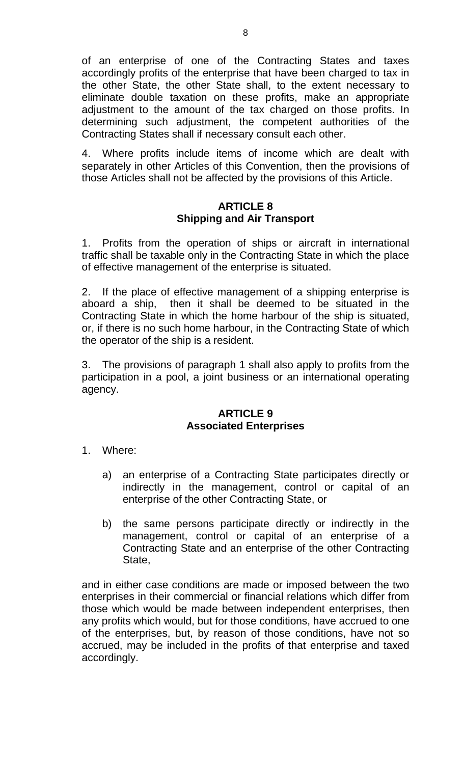of an enterprise of one of the Contracting States and taxes accordingly profits of the enterprise that have been charged to tax in the other State, the other State shall, to the extent necessary to eliminate double taxation on these profits, make an appropriate adjustment to the amount of the tax charged on those profits. In determining such adjustment, the competent authorities of the Contracting States shall if necessary consult each other.

4. Where profits include items of income which are dealt with separately in other Articles of this Convention, then the provisions of those Articles shall not be affected by the provisions of this Article.

## **ARTICLE 8 Shipping and Air Transport**

1. Profits from the operation of ships or aircraft in international traffic shall be taxable only in the Contracting State in which the place of effective management of the enterprise is situated.

2. If the place of effective management of a shipping enterprise is aboard a ship, then it shall be deemed to be situated in the Contracting State in which the home harbour of the ship is situated, or, if there is no such home harbour, in the Contracting State of which the operator of the ship is a resident.

3. The provisions of paragraph 1 shall also apply to profits from the participation in a pool, a joint business or an international operating agency.

# **ARTICLE 9 Associated Enterprises**

- 1. Where:
	- a) an enterprise of a Contracting State participates directly or indirectly in the management, control or capital of an enterprise of the other Contracting State, or
	- b) the same persons participate directly or indirectly in the management, control or capital of an enterprise of a Contracting State and an enterprise of the other Contracting State,

and in either case conditions are made or imposed between the two enterprises in their commercial or financial relations which differ from those which would be made between independent enterprises, then any profits which would, but for those conditions, have accrued to one of the enterprises, but, by reason of those conditions, have not so accrued, may be included in the profits of that enterprise and taxed accordingly.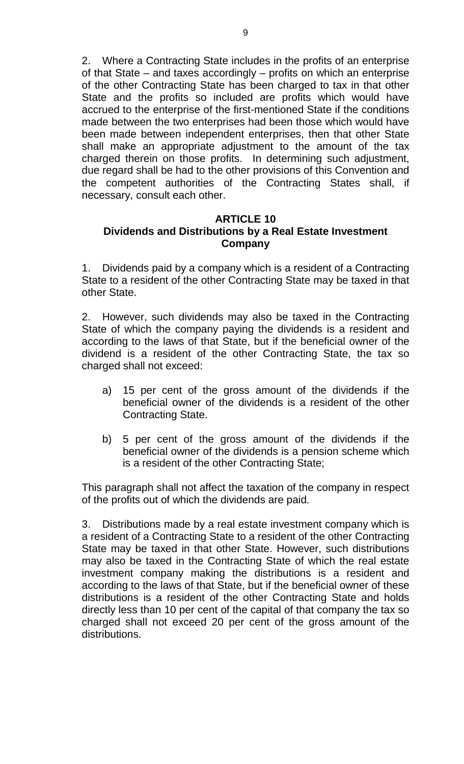2. Where a Contracting State includes in the profits of an enterprise of that State – and taxes accordingly – profits on which an enterprise of the other Contracting State has been charged to tax in that other State and the profits so included are profits which would have accrued to the enterprise of the first-mentioned State if the conditions made between the two enterprises had been those which would have been made between independent enterprises, then that other State shall make an appropriate adjustment to the amount of the tax charged therein on those profits. In determining such adjustment, due regard shall be had to the other provisions of this Convention and the competent authorities of the Contracting States shall, if necessary, consult each other.

### **ARTICLE 10 Dividends and Distributions by a Real Estate Investment Company**

1. Dividends paid by a company which is a resident of a Contracting State to a resident of the other Contracting State may be taxed in that other State.

2. However, such dividends may also be taxed in the Contracting State of which the company paying the dividends is a resident and according to the laws of that State, but if the beneficial owner of the dividend is a resident of the other Contracting State, the tax so charged shall not exceed:

- a) 15 per cent of the gross amount of the dividends if the beneficial owner of the dividends is a resident of the other Contracting State.
- b) 5 per cent of the gross amount of the dividends if the beneficial owner of the dividends is a pension scheme which is a resident of the other Contracting State;

This paragraph shall not affect the taxation of the company in respect of the profits out of which the dividends are paid.

3. Distributions made by a real estate investment company which is a resident of a Contracting State to a resident of the other Contracting State may be taxed in that other State. However, such distributions may also be taxed in the Contracting State of which the real estate investment company making the distributions is a resident and according to the laws of that State, but if the beneficial owner of these distributions is a resident of the other Contracting State and holds directly less than 10 per cent of the capital of that company the tax so charged shall not exceed 20 per cent of the gross amount of the distributions.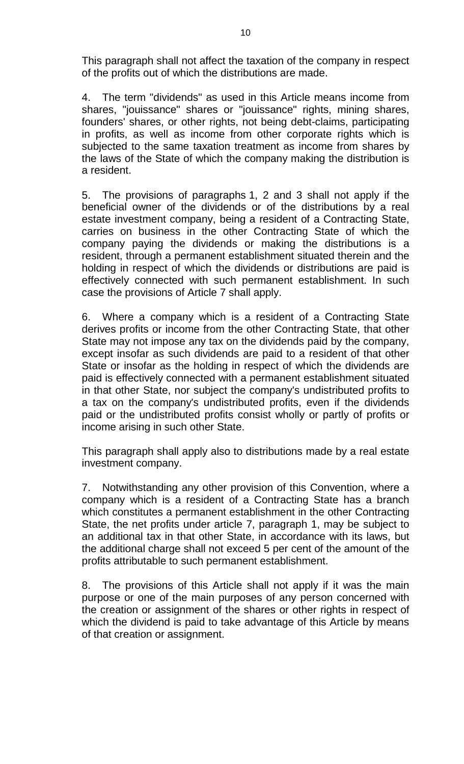This paragraph shall not affect the taxation of the company in respect of the profits out of which the distributions are made.

4. The term "dividends" as used in this Article means income from shares, "jouissance" shares or "jouissance" rights, mining shares, founders' shares, or other rights, not being debt-claims, participating in profits, as well as income from other corporate rights which is subjected to the same taxation treatment as income from shares by the laws of the State of which the company making the distribution is a resident.

5. The provisions of paragraphs 1, 2 and 3 shall not apply if the beneficial owner of the dividends or of the distributions by a real estate investment company, being a resident of a Contracting State, carries on business in the other Contracting State of which the company paying the dividends or making the distributions is a resident, through a permanent establishment situated therein and the holding in respect of which the dividends or distributions are paid is effectively connected with such permanent establishment. In such case the provisions of Article 7 shall apply.

6. Where a company which is a resident of a Contracting State derives profits or income from the other Contracting State, that other State may not impose any tax on the dividends paid by the company, except insofar as such dividends are paid to a resident of that other State or insofar as the holding in respect of which the dividends are paid is effectively connected with a permanent establishment situated in that other State, nor subject the company's undistributed profits to a tax on the company's undistributed profits, even if the dividends paid or the undistributed profits consist wholly or partly of profits or income arising in such other State.

This paragraph shall apply also to distributions made by a real estate investment company.

7. Notwithstanding any other provision of this Convention, where a company which is a resident of a Contracting State has a branch which constitutes a permanent establishment in the other Contracting State, the net profits under article 7, paragraph 1, may be subject to an additional tax in that other State, in accordance with its laws, but the additional charge shall not exceed 5 per cent of the amount of the profits attributable to such permanent establishment.

8. The provisions of this Article shall not apply if it was the main purpose or one of the main purposes of any person concerned with the creation or assignment of the shares or other rights in respect of which the dividend is paid to take advantage of this Article by means of that creation or assignment.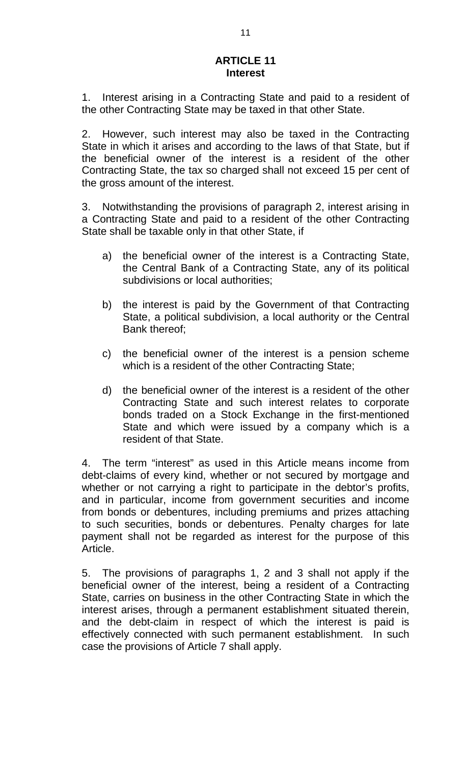#### **ARTICLE 11 Interest**

1. Interest arising in a Contracting State and paid to a resident of the other Contracting State may be taxed in that other State.

2. However, such interest may also be taxed in the Contracting State in which it arises and according to the laws of that State, but if the beneficial owner of the interest is a resident of the other Contracting State, the tax so charged shall not exceed 15 per cent of the gross amount of the interest.

3. Notwithstanding the provisions of paragraph 2, interest arising in a Contracting State and paid to a resident of the other Contracting State shall be taxable only in that other State, if

- a) the beneficial owner of the interest is a Contracting State, the Central Bank of a Contracting State, any of its political subdivisions or local authorities;
- b) the interest is paid by the Government of that Contracting State, a political subdivision, a local authority or the Central Bank thereof;
- c) the beneficial owner of the interest is a pension scheme which is a resident of the other Contracting State;
- d) the beneficial owner of the interest is a resident of the other Contracting State and such interest relates to corporate bonds traded on a Stock Exchange in the first-mentioned State and which were issued by a company which is a resident of that State.

4. The term "interest" as used in this Article means income from debt-claims of every kind, whether or not secured by mortgage and whether or not carrying a right to participate in the debtor's profits, and in particular, income from government securities and income from bonds or debentures, including premiums and prizes attaching to such securities, bonds or debentures. Penalty charges for late payment shall not be regarded as interest for the purpose of this Article.

5. The provisions of paragraphs 1, 2 and 3 shall not apply if the beneficial owner of the interest, being a resident of a Contracting State, carries on business in the other Contracting State in which the interest arises, through a permanent establishment situated therein, and the debt-claim in respect of which the interest is paid is effectively connected with such permanent establishment. In such case the provisions of Article 7 shall apply.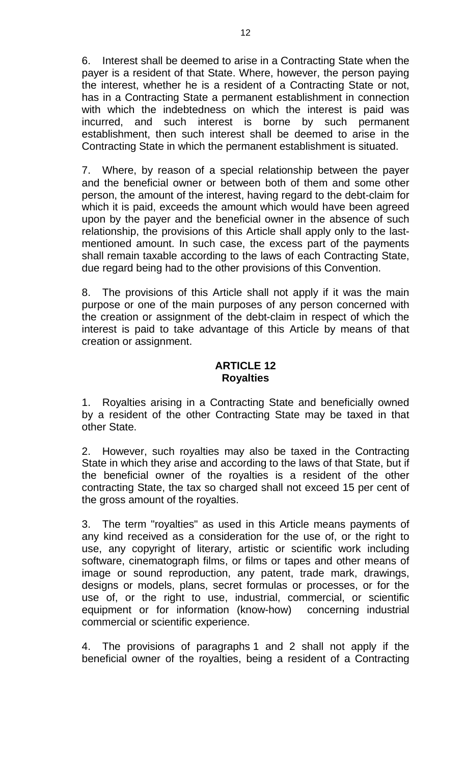6. Interest shall be deemed to arise in a Contracting State when the payer is a resident of that State. Where, however, the person paying the interest, whether he is a resident of a Contracting State or not, has in a Contracting State a permanent establishment in connection with which the indebtedness on which the interest is paid was incurred, and such interest is borne by such permanent establishment, then such interest shall be deemed to arise in the Contracting State in which the permanent establishment is situated.

7. Where, by reason of a special relationship between the payer and the beneficial owner or between both of them and some other person, the amount of the interest, having regard to the debt-claim for which it is paid, exceeds the amount which would have been agreed upon by the payer and the beneficial owner in the absence of such relationship, the provisions of this Article shall apply only to the lastmentioned amount. In such case, the excess part of the payments shall remain taxable according to the laws of each Contracting State, due regard being had to the other provisions of this Convention.

8. The provisions of this Article shall not apply if it was the main purpose or one of the main purposes of any person concerned with the creation or assignment of the debt-claim in respect of which the interest is paid to take advantage of this Article by means of that creation or assignment.

### **ARTICLE 12 Royalties**

1. Royalties arising in a Contracting State and beneficially owned by a resident of the other Contracting State may be taxed in that other State.

2. However, such royalties may also be taxed in the Contracting State in which they arise and according to the laws of that State, but if the beneficial owner of the royalties is a resident of the other contracting State, the tax so charged shall not exceed 15 per cent of the gross amount of the royalties.

3. The term "royalties" as used in this Article means payments of any kind received as a consideration for the use of, or the right to use, any copyright of literary, artistic or scientific work including software, cinematograph films, or films or tapes and other means of image or sound reproduction, any patent, trade mark, drawings, designs or models, plans, secret formulas or processes, or for the use of, or the right to use, industrial, commercial, or scientific equipment or for information (know-how) concerning industrial commercial or scientific experience.

4. The provisions of paragraphs 1 and 2 shall not apply if the beneficial owner of the royalties, being a resident of a Contracting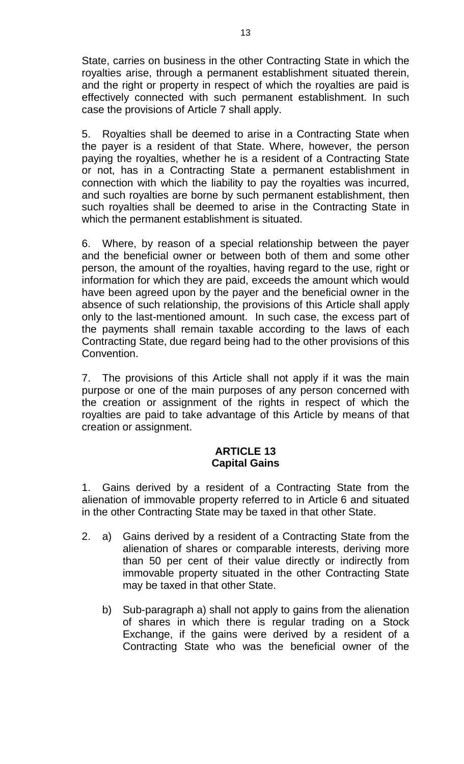State, carries on business in the other Contracting State in which the royalties arise, through a permanent establishment situated therein, and the right or property in respect of which the royalties are paid is effectively connected with such permanent establishment. In such case the provisions of Article 7 shall apply.

5. Royalties shall be deemed to arise in a Contracting State when the payer is a resident of that State. Where, however, the person paying the royalties, whether he is a resident of a Contracting State or not, has in a Contracting State a permanent establishment in connection with which the liability to pay the royalties was incurred, and such royalties are borne by such permanent establishment, then such royalties shall be deemed to arise in the Contracting State in which the permanent establishment is situated.

6. Where, by reason of a special relationship between the payer and the beneficial owner or between both of them and some other person, the amount of the royalties, having regard to the use, right or information for which they are paid, exceeds the amount which would have been agreed upon by the payer and the beneficial owner in the absence of such relationship, the provisions of this Article shall apply only to the last-mentioned amount. In such case, the excess part of the payments shall remain taxable according to the laws of each Contracting State, due regard being had to the other provisions of this Convention.

7. The provisions of this Article shall not apply if it was the main purpose or one of the main purposes of any person concerned with the creation or assignment of the rights in respect of which the royalties are paid to take advantage of this Article by means of that creation or assignment.

# **ARTICLE 13 Capital Gains**

1. Gains derived by a resident of a Contracting State from the alienation of immovable property referred to in Article 6 and situated in the other Contracting State may be taxed in that other State.

- 2. a) Gains derived by a resident of a Contracting State from the alienation of shares or comparable interests, deriving more than 50 per cent of their value directly or indirectly from immovable property situated in the other Contracting State may be taxed in that other State.
	- b) Sub-paragraph a) shall not apply to gains from the alienation of shares in which there is regular trading on a Stock Exchange, if the gains were derived by a resident of a Contracting State who was the beneficial owner of the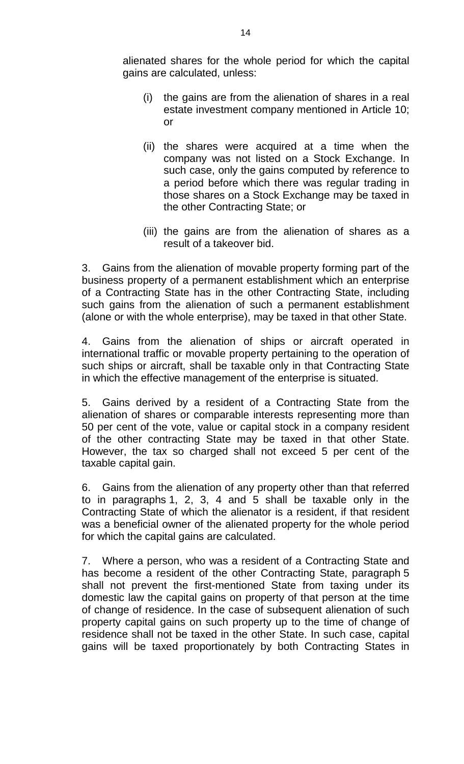alienated shares for the whole period for which the capital gains are calculated, unless:

- (i) the gains are from the alienation of shares in a real estate investment company mentioned in Article 10; or
- (ii) the shares were acquired at a time when the company was not listed on a Stock Exchange. In such case, only the gains computed by reference to a period before which there was regular trading in those shares on a Stock Exchange may be taxed in the other Contracting State; or
- (iii) the gains are from the alienation of shares as a result of a takeover bid.

3. Gains from the alienation of movable property forming part of the business property of a permanent establishment which an enterprise of a Contracting State has in the other Contracting State, including such gains from the alienation of such a permanent establishment (alone or with the whole enterprise), may be taxed in that other State.

4. Gains from the alienation of ships or aircraft operated in international traffic or movable property pertaining to the operation of such ships or aircraft, shall be taxable only in that Contracting State in which the effective management of the enterprise is situated.

5. Gains derived by a resident of a Contracting State from the alienation of shares or comparable interests representing more than 50 per cent of the vote, value or capital stock in a company resident of the other contracting State may be taxed in that other State. However, the tax so charged shall not exceed 5 per cent of the taxable capital gain.

6. Gains from the alienation of any property other than that referred to in paragraphs 1, 2, 3, 4 and 5 shall be taxable only in the Contracting State of which the alienator is a resident, if that resident was a beneficial owner of the alienated property for the whole period for which the capital gains are calculated.

7. Where a person, who was a resident of a Contracting State and has become a resident of the other Contracting State, paragraph 5 shall not prevent the first-mentioned State from taxing under its domestic law the capital gains on property of that person at the time of change of residence. In the case of subsequent alienation of such property capital gains on such property up to the time of change of residence shall not be taxed in the other State. In such case, capital gains will be taxed proportionately by both Contracting States in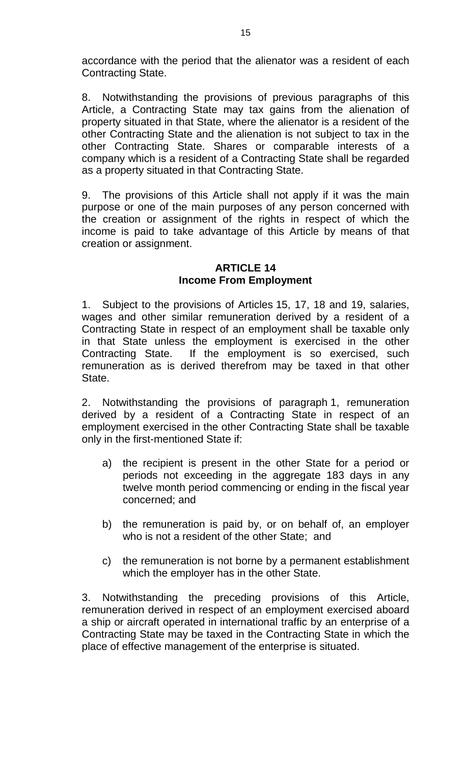accordance with the period that the alienator was a resident of each Contracting State.

8. Notwithstanding the provisions of previous paragraphs of this Article, a Contracting State may tax gains from the alienation of property situated in that State, where the alienator is a resident of the other Contracting State and the alienation is not subject to tax in the other Contracting State. Shares or comparable interests of a company which is a resident of a Contracting State shall be regarded as a property situated in that Contracting State.

9. The provisions of this Article shall not apply if it was the main purpose or one of the main purposes of any person concerned with the creation or assignment of the rights in respect of which the income is paid to take advantage of this Article by means of that creation or assignment.

# **ARTICLE 14 Income From Employment**

1. Subject to the provisions of Articles 15, 17, 18 and 19, salaries, wages and other similar remuneration derived by a resident of a Contracting State in respect of an employment shall be taxable only in that State unless the employment is exercised in the other Contracting State. If the employment is so exercised, such remuneration as is derived therefrom may be taxed in that other State.

2. Notwithstanding the provisions of paragraph 1, remuneration derived by a resident of a Contracting State in respect of an employment exercised in the other Contracting State shall be taxable only in the first-mentioned State if:

- a) the recipient is present in the other State for a period or periods not exceeding in the aggregate 183 days in any twelve month period commencing or ending in the fiscal year concerned; and
- b) the remuneration is paid by, or on behalf of, an employer who is not a resident of the other State; and
- c) the remuneration is not borne by a permanent establishment which the employer has in the other State.

3. Notwithstanding the preceding provisions of this Article, remuneration derived in respect of an employment exercised aboard a ship or aircraft operated in international traffic by an enterprise of a Contracting State may be taxed in the Contracting State in which the place of effective management of the enterprise is situated.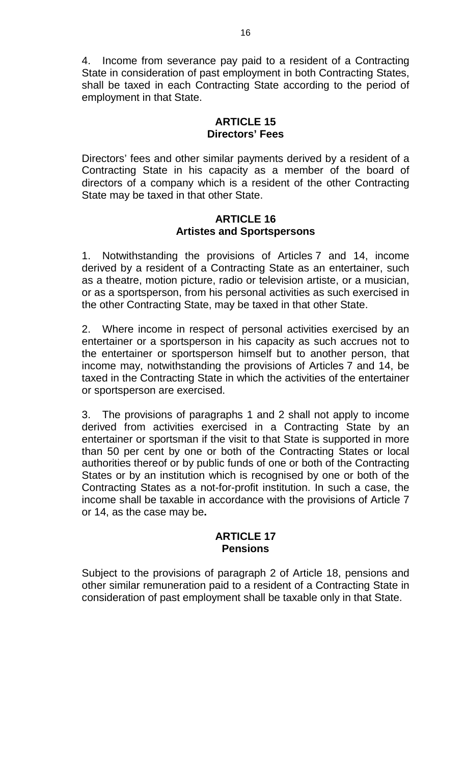4. Income from severance pay paid to a resident of a Contracting State in consideration of past employment in both Contracting States, shall be taxed in each Contracting State according to the period of employment in that State.

### **ARTICLE 15 Directors' Fees**

Directors' fees and other similar payments derived by a resident of a Contracting State in his capacity as a member of the board of directors of a company which is a resident of the other Contracting State may be taxed in that other State.

## **ARTICLE 16 Artistes and Sportspersons**

1. Notwithstanding the provisions of Articles 7 and 14, income derived by a resident of a Contracting State as an entertainer, such as a theatre, motion picture, radio or television artiste, or a musician, or as a sportsperson, from his personal activities as such exercised in the other Contracting State, may be taxed in that other State.

2. Where income in respect of personal activities exercised by an entertainer or a sportsperson in his capacity as such accrues not to the entertainer or sportsperson himself but to another person, that income may, notwithstanding the provisions of Articles 7 and 14, be taxed in the Contracting State in which the activities of the entertainer or sportsperson are exercised.

3. The provisions of paragraphs 1 and 2 shall not apply to income derived from activities exercised in a Contracting State by an entertainer or sportsman if the visit to that State is supported in more than 50 per cent by one or both of the Contracting States or local authorities thereof or by public funds of one or both of the Contracting States or by an institution which is recognised by one or both of the Contracting States as a not-for-profit institution. In such a case, the income shall be taxable in accordance with the provisions of Article 7 or 14, as the case may be**.** 

# **ARTICLE 17 Pensions**

Subject to the provisions of paragraph 2 of Article 18, pensions and other similar remuneration paid to a resident of a Contracting State in consideration of past employment shall be taxable only in that State.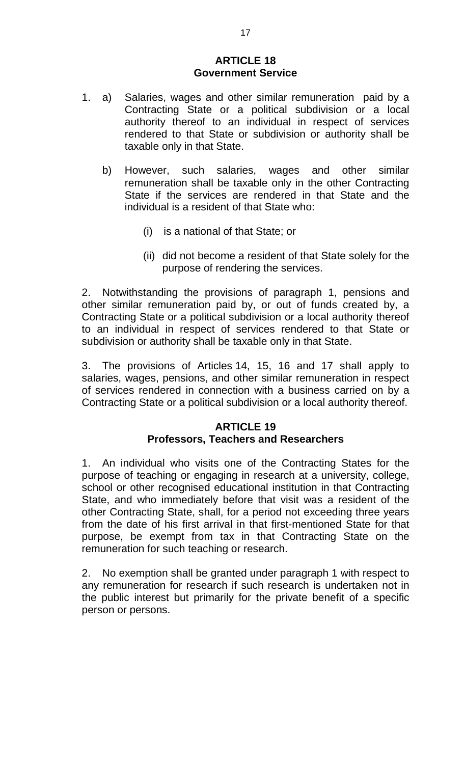### **ARTICLE 18 Government Service**

- 1. a) Salaries, wages and other similar remuneration paid by a Contracting State or a political subdivision or a local authority thereof to an individual in respect of services rendered to that State or subdivision or authority shall be taxable only in that State.
	- b) However, such salaries, wages and other similar remuneration shall be taxable only in the other Contracting State if the services are rendered in that State and the individual is a resident of that State who:
		- (i) is a national of that State; or
		- (ii) did not become a resident of that State solely for the purpose of rendering the services.

2. Notwithstanding the provisions of paragraph 1, pensions and other similar remuneration paid by, or out of funds created by, a Contracting State or a political subdivision or a local authority thereof to an individual in respect of services rendered to that State or subdivision or authority shall be taxable only in that State.

3. The provisions of Articles 14, 15, 16 and 17 shall apply to salaries, wages, pensions, and other similar remuneration in respect of services rendered in connection with a business carried on by a Contracting State or a political subdivision or a local authority thereof.

# **ARTICLE 19 Professors, Teachers and Researchers**

1. An individual who visits one of the Contracting States for the purpose of teaching or engaging in research at a university, college, school or other recognised educational institution in that Contracting State, and who immediately before that visit was a resident of the other Contracting State, shall, for a period not exceeding three years from the date of his first arrival in that first-mentioned State for that purpose, be exempt from tax in that Contracting State on the remuneration for such teaching or research.

2. No exemption shall be granted under paragraph 1 with respect to any remuneration for research if such research is undertaken not in the public interest but primarily for the private benefit of a specific person or persons.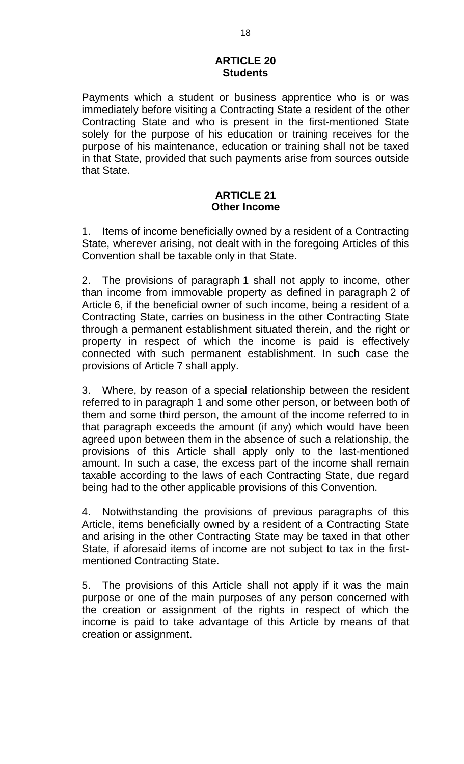#### **ARTICLE 20 Students**

Payments which a student or business apprentice who is or was immediately before visiting a Contracting State a resident of the other Contracting State and who is present in the first-mentioned State solely for the purpose of his education or training receives for the purpose of his maintenance, education or training shall not be taxed in that State, provided that such payments arise from sources outside that State.

### **ARTICLE 21 Other Income**

1. Items of income beneficially owned by a resident of a Contracting State, wherever arising, not dealt with in the foregoing Articles of this Convention shall be taxable only in that State.

2. The provisions of paragraph 1 shall not apply to income, other than income from immovable property as defined in paragraph 2 of Article 6, if the beneficial owner of such income, being a resident of a Contracting State, carries on business in the other Contracting State through a permanent establishment situated therein, and the right or property in respect of which the income is paid is effectively connected with such permanent establishment. In such case the provisions of Article 7 shall apply.

3. Where, by reason of a special relationship between the resident referred to in paragraph 1 and some other person, or between both of them and some third person, the amount of the income referred to in that paragraph exceeds the amount (if any) which would have been agreed upon between them in the absence of such a relationship, the provisions of this Article shall apply only to the last-mentioned amount. In such a case, the excess part of the income shall remain taxable according to the laws of each Contracting State, due regard being had to the other applicable provisions of this Convention.

4. Notwithstanding the provisions of previous paragraphs of this Article, items beneficially owned by a resident of a Contracting State and arising in the other Contracting State may be taxed in that other State, if aforesaid items of income are not subject to tax in the firstmentioned Contracting State.

5. The provisions of this Article shall not apply if it was the main purpose or one of the main purposes of any person concerned with the creation or assignment of the rights in respect of which the income is paid to take advantage of this Article by means of that creation or assignment.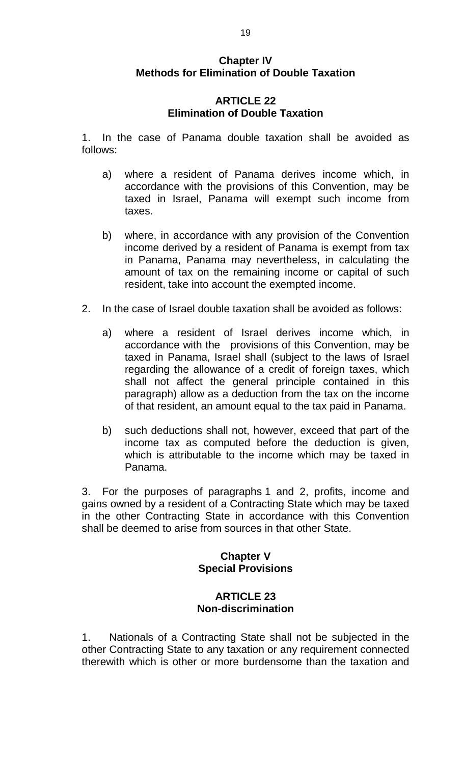### **Chapter IV Methods for Elimination of Double Taxation**

# **ARTICLE 22 Elimination of Double Taxation**

1. In the case of Panama double taxation shall be avoided as follows:

- a) where a resident of Panama derives income which, in accordance with the provisions of this Convention, may be taxed in Israel, Panama will exempt such income from taxes.
- b) where, in accordance with any provision of the Convention income derived by a resident of Panama is exempt from tax in Panama, Panama may nevertheless, in calculating the amount of tax on the remaining income or capital of such resident, take into account the exempted income.
- 2. In the case of Israel double taxation shall be avoided as follows:
	- a) where a resident of Israel derives income which, in accordance with the provisions of this Convention, may be taxed in Panama, Israel shall (subject to the laws of Israel regarding the allowance of a credit of foreign taxes, which shall not affect the general principle contained in this paragraph) allow as a deduction from the tax on the income of that resident, an amount equal to the tax paid in Panama.
	- b) such deductions shall not, however, exceed that part of the income tax as computed before the deduction is given, which is attributable to the income which may be taxed in Panama.

3. For the purposes of paragraphs 1 and 2, profits, income and gains owned by a resident of a Contracting State which may be taxed in the other Contracting State in accordance with this Convention shall be deemed to arise from sources in that other State.

# **Chapter V Special Provisions**

#### **ARTICLE 23 Non-discrimination**

1. Nationals of a Contracting State shall not be subjected in the other Contracting State to any taxation or any requirement connected therewith which is other or more burdensome than the taxation and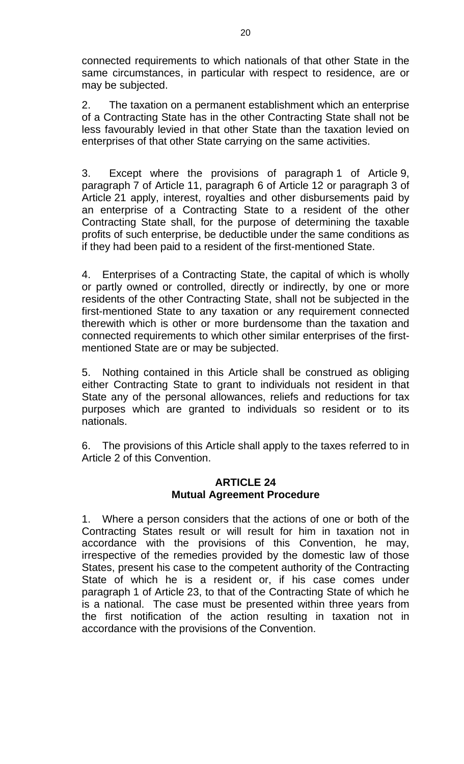connected requirements to which nationals of that other State in the same circumstances, in particular with respect to residence, are or may be subjected.

2. The taxation on a permanent establishment which an enterprise of a Contracting State has in the other Contracting State shall not be less favourably levied in that other State than the taxation levied on enterprises of that other State carrying on the same activities.

3. Except where the provisions of paragraph 1 of Article 9, paragraph 7 of Article 11, paragraph 6 of Article 12 or paragraph 3 of Article 21 apply, interest, royalties and other disbursements paid by an enterprise of a Contracting State to a resident of the other Contracting State shall, for the purpose of determining the taxable profits of such enterprise, be deductible under the same conditions as if they had been paid to a resident of the first-mentioned State.

4. Enterprises of a Contracting State, the capital of which is wholly or partly owned or controlled, directly or indirectly, by one or more residents of the other Contracting State, shall not be subjected in the first-mentioned State to any taxation or any requirement connected therewith which is other or more burdensome than the taxation and connected requirements to which other similar enterprises of the firstmentioned State are or may be subjected.

5. Nothing contained in this Article shall be construed as obliging either Contracting State to grant to individuals not resident in that State any of the personal allowances, reliefs and reductions for tax purposes which are granted to individuals so resident or to its nationals.

6. The provisions of this Article shall apply to the taxes referred to in Article 2 of this Convention.

### **ARTICLE 24 Mutual Agreement Procedure**

1. Where a person considers that the actions of one or both of the Contracting States result or will result for him in taxation not in accordance with the provisions of this Convention, he may, irrespective of the remedies provided by the domestic law of those States, present his case to the competent authority of the Contracting State of which he is a resident or, if his case comes under paragraph 1 of Article 23, to that of the Contracting State of which he is a national. The case must be presented within three years from the first notification of the action resulting in taxation not in accordance with the provisions of the Convention.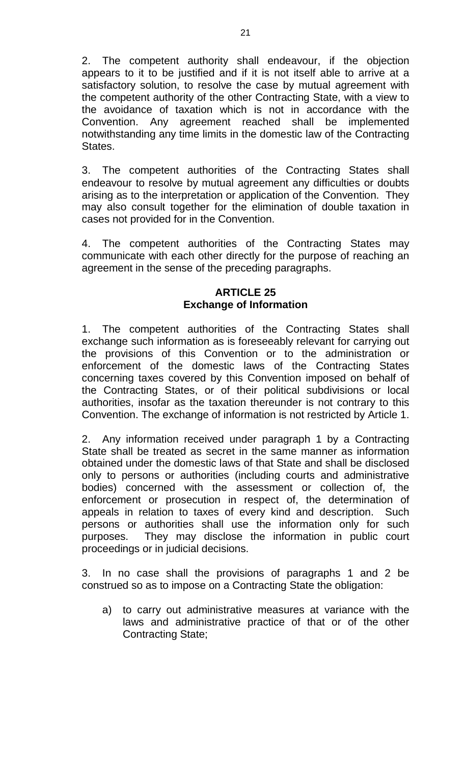2. The competent authority shall endeavour, if the objection appears to it to be justified and if it is not itself able to arrive at a satisfactory solution, to resolve the case by mutual agreement with the competent authority of the other Contracting State, with a view to the avoidance of taxation which is not in accordance with the Convention. Any agreement reached shall be implemented notwithstanding any time limits in the domestic law of the Contracting States.

3. The competent authorities of the Contracting States shall endeavour to resolve by mutual agreement any difficulties or doubts arising as to the interpretation or application of the Convention. They may also consult together for the elimination of double taxation in cases not provided for in the Convention.

4. The competent authorities of the Contracting States may communicate with each other directly for the purpose of reaching an agreement in the sense of the preceding paragraphs.

# **ARTICLE 25 Exchange of Information**

1. The competent authorities of the Contracting States shall exchange such information as is foreseeably relevant for carrying out the provisions of this Convention or to the administration or enforcement of the domestic laws of the Contracting States concerning taxes covered by this Convention imposed on behalf of the Contracting States, or of their political subdivisions or local authorities, insofar as the taxation thereunder is not contrary to this Convention. The exchange of information is not restricted by Article 1.

2. Any information received under paragraph 1 by a Contracting State shall be treated as secret in the same manner as information obtained under the domestic laws of that State and shall be disclosed only to persons or authorities (including courts and administrative bodies) concerned with the assessment or collection of, the enforcement or prosecution in respect of, the determination of appeals in relation to taxes of every kind and description. Such persons or authorities shall use the information only for such purposes. They may disclose the information in public court proceedings or in judicial decisions.

3. In no case shall the provisions of paragraphs 1 and 2 be construed so as to impose on a Contracting State the obligation:

 a) to carry out administrative measures at variance with the laws and administrative practice of that or of the other Contracting State;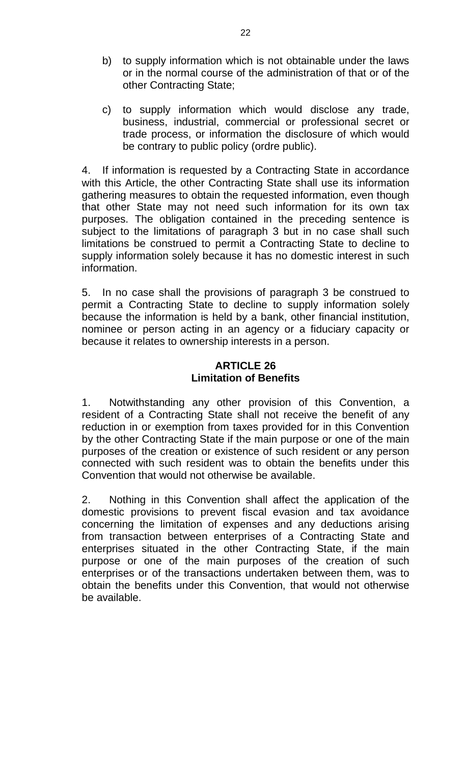- b) to supply information which is not obtainable under the laws or in the normal course of the administration of that or of the other Contracting State;
- c) to supply information which would disclose any trade, business, industrial, commercial or professional secret or trade process, or information the disclosure of which would be contrary to public policy (ordre public).

4. If information is requested by a Contracting State in accordance with this Article, the other Contracting State shall use its information gathering measures to obtain the requested information, even though that other State may not need such information for its own tax purposes. The obligation contained in the preceding sentence is subject to the limitations of paragraph 3 but in no case shall such limitations be construed to permit a Contracting State to decline to supply information solely because it has no domestic interest in such information.

5. In no case shall the provisions of paragraph 3 be construed to permit a Contracting State to decline to supply information solely because the information is held by a bank, other financial institution, nominee or person acting in an agency or a fiduciary capacity or because it relates to ownership interests in a person.

### **ARTICLE 26 Limitation of Benefits**

1. Notwithstanding any other provision of this Convention, a resident of a Contracting State shall not receive the benefit of any reduction in or exemption from taxes provided for in this Convention by the other Contracting State if the main purpose or one of the main purposes of the creation or existence of such resident or any person connected with such resident was to obtain the benefits under this Convention that would not otherwise be available.

2. Nothing in this Convention shall affect the application of the domestic provisions to prevent fiscal evasion and tax avoidance concerning the limitation of expenses and any deductions arising from transaction between enterprises of a Contracting State and enterprises situated in the other Contracting State, if the main purpose or one of the main purposes of the creation of such enterprises or of the transactions undertaken between them, was to obtain the benefits under this Convention, that would not otherwise be available.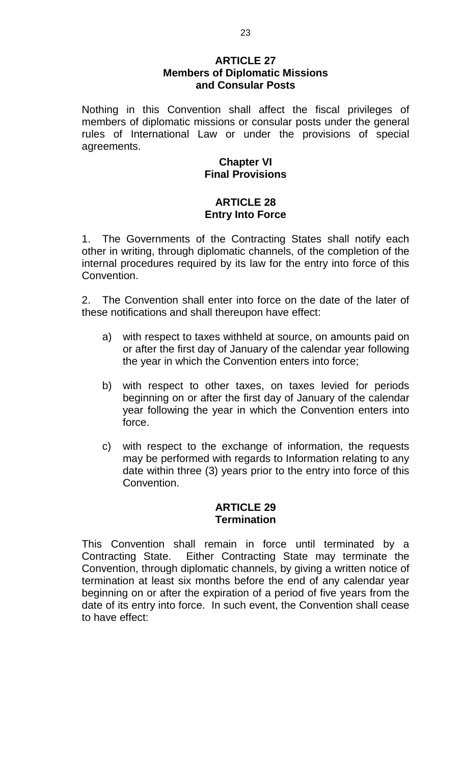#### **ARTICLE 27 Members of Diplomatic Missions and Consular Posts**

Nothing in this Convention shall affect the fiscal privileges of members of diplomatic missions or consular posts under the general rules of International Law or under the provisions of special agreements.

### **Chapter VI Final Provisions**

### **ARTICLE 28 Entry Into Force**

1. The Governments of the Contracting States shall notify each other in writing, through diplomatic channels, of the completion of the internal procedures required by its law for the entry into force of this Convention.

2. The Convention shall enter into force on the date of the later of these notifications and shall thereupon have effect:

- a) with respect to taxes withheld at source, on amounts paid on or after the first day of January of the calendar year following the year in which the Convention enters into force;
- b) with respect to other taxes, on taxes levied for periods beginning on or after the first day of January of the calendar year following the year in which the Convention enters into force.
- c) with respect to the exchange of information, the requests may be performed with regards to Information relating to any date within three (3) years prior to the entry into force of this Convention.

#### **ARTICLE 29 Termination**

This Convention shall remain in force until terminated by a Contracting State. Either Contracting State may terminate the Convention, through diplomatic channels, by giving a written notice of termination at least six months before the end of any calendar year beginning on or after the expiration of a period of five years from the date of its entry into force. In such event, the Convention shall cease to have effect: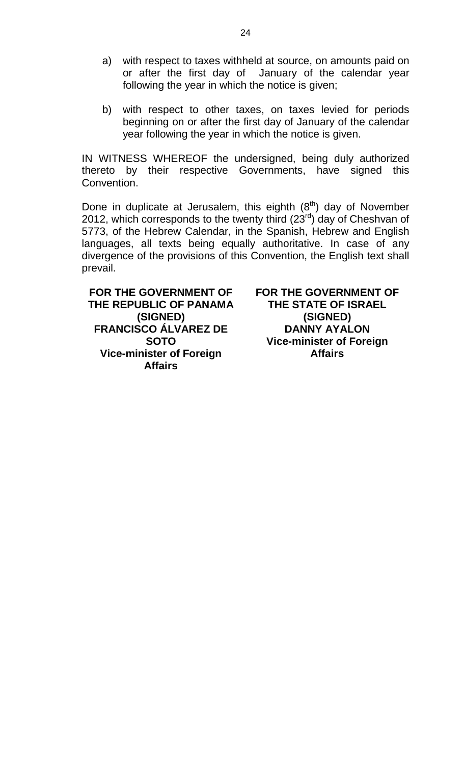- a) with respect to taxes withheld at source, on amounts paid on or after the first day of January of the calendar year following the year in which the notice is given;
- b) with respect to other taxes, on taxes levied for periods beginning on or after the first day of January of the calendar year following the year in which the notice is given.

IN WITNESS WHEREOF the undersigned, being duly authorized thereto by their respective Governments, have signed this Convention.

Done in duplicate at Jerusalem, this eighth  $(8<sup>th</sup>)$  day of November 2012, which corresponds to the twenty third  $(23^{rd})$  day of Cheshvan of 5773, of the Hebrew Calendar, in the Spanish, Hebrew and English languages, all texts being equally authoritative. In case of any divergence of the provisions of this Convention, the English text shall prevail.

**FOR THE GOVERNMENT OF THE REPUBLIC OF PANAMA (SIGNED) FRANCISCO ÁLVAREZ DE SOTO Vice-minister of Foreign Affairs**

### **FOR THE GOVERNMENT OF THE STATE OF ISRAEL (SIGNED) DANNY AYALON Vice-minister of Foreign Affairs**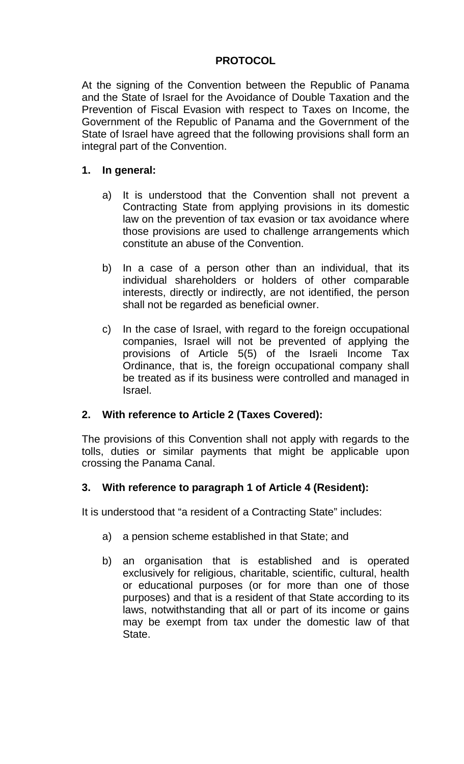# **PROTOCOL**

At the signing of the Convention between the Republic of Panama and the State of Israel for the Avoidance of Double Taxation and the Prevention of Fiscal Evasion with respect to Taxes on Income, the Government of the Republic of Panama and the Government of the State of Israel have agreed that the following provisions shall form an integral part of the Convention.

# **1. In general:**

- a) It is understood that the Convention shall not prevent a Contracting State from applying provisions in its domestic law on the prevention of tax evasion or tax avoidance where those provisions are used to challenge arrangements which constitute an abuse of the Convention.
- b) In a case of a person other than an individual, that its individual shareholders or holders of other comparable interests, directly or indirectly, are not identified, the person shall not be regarded as beneficial owner.
- c) In the case of Israel, with regard to the foreign occupational companies, Israel will not be prevented of applying the provisions of Article 5(5) of the Israeli Income Tax Ordinance, that is, the foreign occupational company shall be treated as if its business were controlled and managed in Israel.

# **2. With reference to Article 2 (Taxes Covered):**

The provisions of this Convention shall not apply with regards to the tolls, duties or similar payments that might be applicable upon crossing the Panama Canal.

# **3. With reference to paragraph 1 of Article 4 (Resident):**

It is understood that "a resident of a Contracting State" includes:

- a) a pension scheme established in that State; and
- b) an organisation that is established and is operated exclusively for religious, charitable, scientific, cultural, health or educational purposes (or for more than one of those purposes) and that is a resident of that State according to its laws, notwithstanding that all or part of its income or gains may be exempt from tax under the domestic law of that State.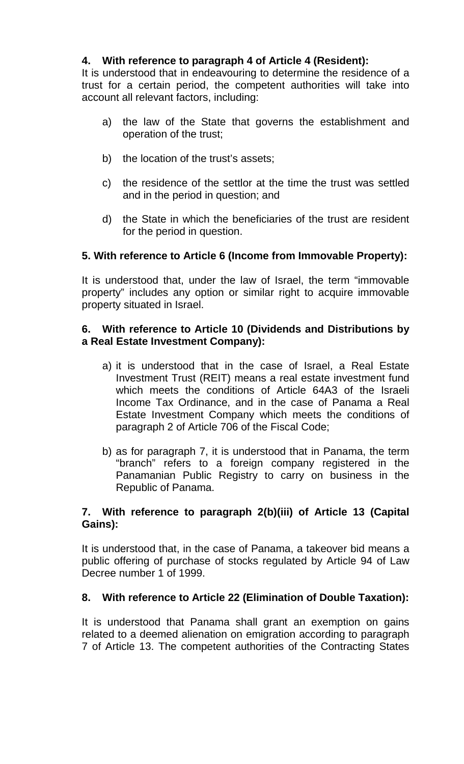# **4. With reference to paragraph 4 of Article 4 (Resident):**

It is understood that in endeavouring to determine the residence of a trust for a certain period, the competent authorities will take into account all relevant factors, including:

- a) the law of the State that governs the establishment and operation of the trust;
- b) the location of the trust's assets;
- c) the residence of the settlor at the time the trust was settled and in the period in question; and
- d) the State in which the beneficiaries of the trust are resident for the period in question.

# **5. With reference to Article 6 (Income from Immovable Property):**

It is understood that, under the law of Israel, the term "immovable property" includes any option or similar right to acquire immovable property situated in Israel.

# **6. With reference to Article 10 (Dividends and Distributions by a Real Estate Investment Company):**

- a) it is understood that in the case of Israel, a Real Estate Investment Trust (REIT) means a real estate investment fund which meets the conditions of Article 64A3 of the Israeli Income Tax Ordinance, and in the case of Panama a Real Estate Investment Company which meets the conditions of paragraph 2 of Article 706 of the Fiscal Code;
- b) as for paragraph 7, it is understood that in Panama, the term "branch" refers to a foreign company registered in the Panamanian Public Registry to carry on business in the Republic of Panama.

# **7. With reference to paragraph 2(b)(iii) of Article 13 (Capital Gains):**

It is understood that, in the case of Panama, a takeover bid means a public offering of purchase of stocks regulated by Article 94 of Law Decree number 1 of 1999.

# **8. With reference to Article 22 (Elimination of Double Taxation):**

It is understood that Panama shall grant an exemption on gains related to a deemed alienation on emigration according to paragraph 7 of Article 13. The competent authorities of the Contracting States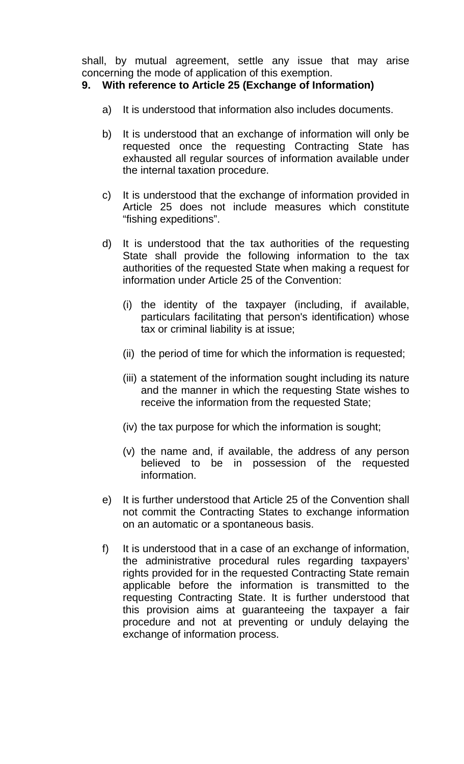shall, by mutual agreement, settle any issue that may arise concerning the mode of application of this exemption.

### **9. With reference to Article 25 (Exchange of Information)**

- a) It is understood that information also includes documents.
- b) It is understood that an exchange of information will only be requested once the requesting Contracting State has exhausted all regular sources of information available under the internal taxation procedure.
- c) It is understood that the exchange of information provided in Article 25 does not include measures which constitute "fishing expeditions".
- d) It is understood that the tax authorities of the requesting State shall provide the following information to the tax authorities of the requested State when making a request for information under Article 25 of the Convention:
	- (i) the identity of the taxpayer (including, if available, particulars facilitating that person's identification) whose tax or criminal liability is at issue;
	- (ii) the period of time for which the information is requested;
	- (iii) a statement of the information sought including its nature and the manner in which the requesting State wishes to receive the information from the requested State;
	- (iv) the tax purpose for which the information is sought;
	- (v) the name and, if available, the address of any person believed to be in possession of the requested information.
- e) It is further understood that Article 25 of the Convention shall not commit the Contracting States to exchange information on an automatic or a spontaneous basis.
- f) It is understood that in a case of an exchange of information, the administrative procedural rules regarding taxpayers' rights provided for in the requested Contracting State remain applicable before the information is transmitted to the requesting Contracting State. It is further understood that this provision aims at guaranteeing the taxpayer a fair procedure and not at preventing or unduly delaying the exchange of information process.